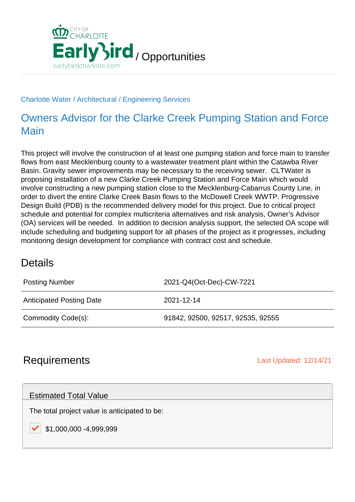

#### Charlotte Water / Architectural / Engineering Services

## Owners Advisor for the Clarke Creek Pumping Station and Force Main

This project will involve the construction of at least one pumping station and force main to transfer flows from east Mecklenburg county to a wastewater treatment plant within the Catawba River Basin. Gravity sewer improvements may be necessary to the receiving sewer. CLTWater is proposing installation of a new Clarke Creek Pumping Station and Force Main which would involve constructing a new pumping station close to the Mecklenburg-Cabarrus County Line, in order to divert the entire Clarke Creek Basin flows to the McDowell Creek WWTP. Progressive Design Build (PDB) is the recommended delivery model for this project. Due to critical project schedule and potential for complex multicriteria alternatives and risk analysis, Owner's Advisor (OA) services will be needed. In addition to decision analysis support, the selected OA scope will include scheduling and budgeting support for all phases of the project as it progresses, including monitoring design development for compliance with contract cost and schedule.

### **Details**

| <b>Posting Number</b>           | 2021-Q4(Oct-Dec)-CW-7221          |
|---------------------------------|-----------------------------------|
| <b>Anticipated Posting Date</b> | 2021-12-14                        |
| Commodity Code(s):              | 91842, 92500, 92517, 92535, 92555 |

## **Requirements** Last Updated: 12/14/21

#### Estimated Total Value

The total project value is anticipated to be:

\$1,000,000 -4,999,999